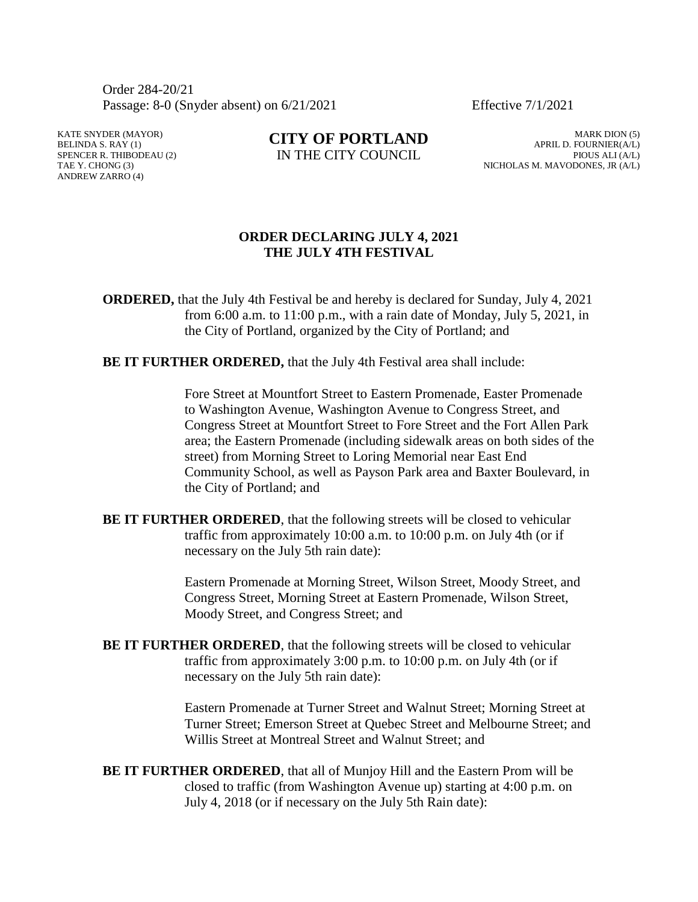Order 284-20/21 Passage: 8-0 (Snyder absent) on 6/21/2021 Effective 7/1/2021

KATE SNYDER (MAYOR) BELINDA S. RAY (1) SPENCER R. THIBODEAU (2) TAE Y. CHONG (3) ANDREW ZARRO (4)

**CITY OF PORTLAND** IN THE CITY COUNCIL

MARK DION (5) APRIL D. FOURNIER(A/L) PIOUS ALI (A/L) NICHOLAS M. MAVODONES, JR (A/L)

## **ORDER DECLARING JULY 4, 2021 THE JULY 4TH FESTIVAL**

**ORDERED,** that the July 4th Festival be and hereby is declared for Sunday, July 4, 2021 from 6:00 a.m. to 11:00 p.m., with a rain date of Monday, July 5, 2021, in the City of Portland, organized by the City of Portland; and

**BE IT FURTHER ORDERED, that the July 4th Festival area shall include:** 

Fore Street at Mountfort Street to Eastern Promenade, Easter Promenade to Washington Avenue, Washington Avenue to Congress Street, and Congress Street at Mountfort Street to Fore Street and the Fort Allen Park area; the Eastern Promenade (including sidewalk areas on both sides of the street) from Morning Street to Loring Memorial near East End Community School, as well as Payson Park area and Baxter Boulevard, in the City of Portland; and

**BE IT FURTHER ORDERED**, that the following streets will be closed to vehicular traffic from approximately 10:00 a.m. to 10:00 p.m. on July 4th (or if necessary on the July 5th rain date):

> Eastern Promenade at Morning Street, Wilson Street, Moody Street, and Congress Street, Morning Street at Eastern Promenade, Wilson Street, Moody Street, and Congress Street; and

**BE IT FURTHER ORDERED**, that the following streets will be closed to vehicular traffic from approximately 3:00 p.m. to 10:00 p.m. on July 4th (or if necessary on the July 5th rain date):

> Eastern Promenade at Turner Street and Walnut Street; Morning Street at Turner Street; Emerson Street at Quebec Street and Melbourne Street; and Willis Street at Montreal Street and Walnut Street; and

**BE IT FURTHER ORDERED**, that all of Munjoy Hill and the Eastern Prom will be closed to traffic (from Washington Avenue up) starting at 4:00 p.m. on July 4, 2018 (or if necessary on the July 5th Rain date):